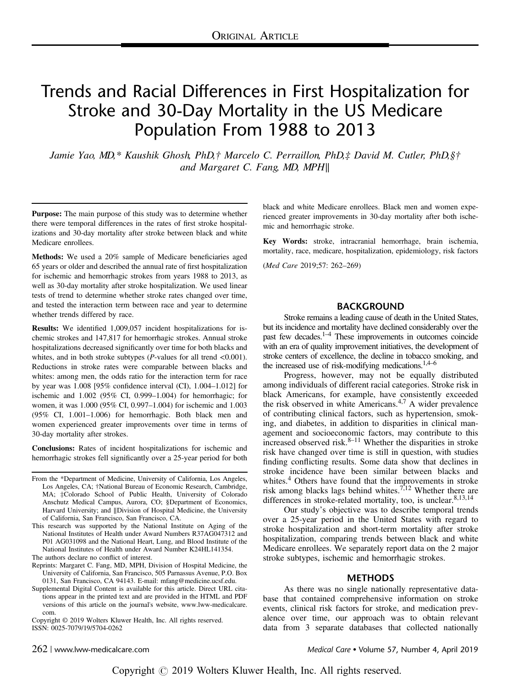# Trends and Racial Differences in First Hospitalization for Stroke and 30-Day Mortality in the US Medicare Population From 1988 to 2013

Jamie Yao, MD,\* Kaushik Ghosh, PhD,† Marcelo C. Perraillon, PhD,‡ David M. Cutler, PhD,§† and Margaret C. Fang, MD, MPH∥

Purpose: The main purpose of this study was to determine whether there were temporal differences in the rates of first stroke hospitalizations and 30-day mortality after stroke between black and white Medicare enrollees.

Methods: We used a 20% sample of Medicare beneficiaries aged 65 years or older and described the annual rate of first hospitalization for ischemic and hemorrhagic strokes from years 1988 to 2013, as well as 30-day mortality after stroke hospitalization. We used linear tests of trend to determine whether stroke rates changed over time, and tested the interaction term between race and year to determine whether trends differed by race.

Results: We identified 1,009,057 incident hospitalizations for ischemic strokes and 147,817 for hemorrhagic strokes. Annual stroke hospitalizations decreased significantly over time for both blacks and whites, and in both stroke subtypes  $(P$ -values for all trend <0.001). Reductions in stroke rates were comparable between blacks and whites: among men, the odds ratio for the interaction term for race by year was 1.008 [95% confidence interval (CI), 1.004–1.012] for ischemic and 1.002 (95% CI, 0.999–1.004) for hemorrhagic; for women, it was 1.000 (95% CI, 0.997–1.004) for ischemic and 1.003 (95% CI, 1.001–1.006) for hemorrhagic. Both black men and women experienced greater improvements over time in terms of 30-day mortality after strokes.

Conclusions: Rates of incident hospitalizations for ischemic and hemorrhagic strokes fell significantly over a 25-year period for both

- From the \*Department of Medicine, University of California, Los Angeles, Los Angeles, CA; †National Bureau of Economic Research, Cambridge, MA; ‡Colorado School of Public Health, University of Colorado Anschutz Medical Campus, Aurora, CO; §Department of Economics, Harvard University; and ∥Division of Hospital Medicine, the University of California, San Francisco, San Francisco, CA.
- This research was supported by the National Institute on Aging of the National Institutes of Health under Award Numbers R37AG047312 and P01 AG031098 and the National Heart, Lung, and Blood Institute of the National Institutes of Health under Award Number K24HL141354. The authors declare no conflict of interest.
- 
- Reprints: Margaret C. Fang, MD, MPH, Division of Hospital Medicine, the University of California, San Francisco, 505 Parnassus Avenue, P.O. Box 0131, San Francisco, CA 94143. E-mail: mfang@medicine.ucsf.edu.
- Supplemental Digital Content is available for this article. Direct URL citations appear in the printed text and are provided in the HTML and PDF versions of this article on the journal's website, www.lww-medicalcare. com.

Copyright © 2019 Wolters Kluwer Health, Inc. All rights reserved. ISSN: 0025-7079/19/5704-0262

black and white Medicare enrollees. Black men and women experienced greater improvements in 30-day mortality after both ischemic and hemorrhagic stroke.

Key Words: stroke, intracranial hemorrhage, brain ischemia, mortality, race, medicare, hospitalization, epidemiology, risk factors

(Med Care 2019;57: 262–269)

#### BACKGROUND

Stroke remains a leading cause of death in the United States, but its incidence and mortality have declined considerably over the past few decades.1–<sup>4</sup> These improvements in outcomes coincide with an era of quality improvement initiatives, the development of stroke centers of excellence, the decline in tobacco smoking, and the increased use of risk-modifying medications. $1,4-6$ 

Progress, however, may not be equally distributed among individuals of different racial categories. Stroke risk in black Americans, for example, have consistently exceeded the risk observed in white Americans.4,7 A wider prevalence of contributing clinical factors, such as hypertension, smoking, and diabetes, in addition to disparities in clinical management and socioeconomic factors, may contribute to this increased observed risk. $8-11$  Whether the disparities in stroke risk have changed over time is still in question, with studies finding conflicting results. Some data show that declines in stroke incidence have been similar between blacks and whites.<sup>4</sup> Others have found that the improvements in stroke risk among blacks lags behind whites.<sup>7,12</sup> Whether there are differences in stroke-related mortality, too, is unclear. $8,13,14$ 

Our study's objective was to describe temporal trends over a 25-year period in the United States with regard to stroke hospitalization and short-term mortality after stroke hospitalization, comparing trends between black and white Medicare enrollees. We separately report data on the 2 major stroke subtypes, ischemic and hemorrhagic strokes.

### METHODS

As there was no single nationally representative database that contained comprehensive information on stroke events, clinical risk factors for stroke, and medication prevalence over time, our approach was to obtain relevant data from 3 separate databases that collected nationally

262 | www.lww-medicalcare.com Medical Care Volume 57, Number 4, April 2019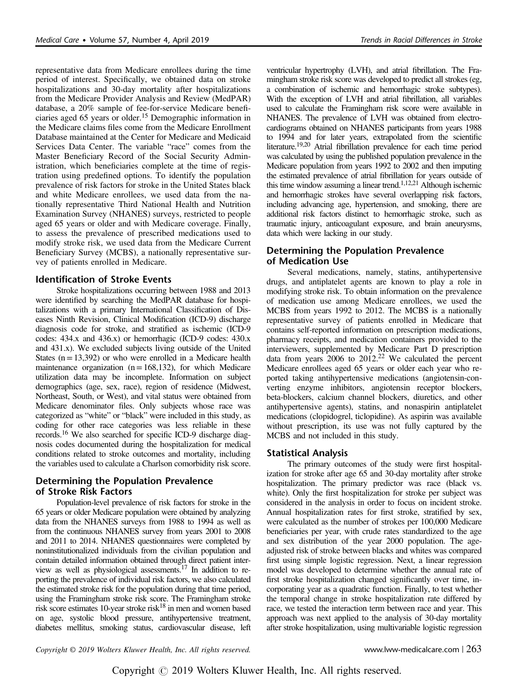representative data from Medicare enrollees during the time period of interest. Specifically, we obtained data on stroke hospitalizations and 30-day mortality after hospitalizations from the Medicare Provider Analysis and Review (MedPAR) database, a 20% sample of fee-for-service Medicare beneficiaries aged 65 years or older.<sup>15</sup> Demographic information in the Medicare claims files come from the Medicare Enrollment Database maintained at the Center for Medicare and Medicaid Services Data Center. The variable "race" comes from the Master Beneficiary Record of the Social Security Administration, which beneficiaries complete at the time of registration using predefined options. To identify the population prevalence of risk factors for stroke in the United States black and white Medicare enrollees, we used data from the nationally representative Third National Health and Nutrition Examination Survey (NHANES) surveys, restricted to people aged 65 years or older and with Medicare coverage. Finally, to assess the prevalence of prescribed medications used to modify stroke risk, we used data from the Medicare Current Beneficiary Survey (MCBS), a nationally representative survey of patients enrolled in Medicare.

## Identification of Stroke Events

Stroke hospitalizations occurring between 1988 and 2013 were identified by searching the MedPAR database for hospitalizations with a primary International Classification of Diseases Ninth Revision, Clinical Modification (ICD-9) discharge diagnosis code for stroke, and stratified as ischemic (ICD-9 codes: 434.x and 436.x) or hemorrhagic (ICD-9 codes: 430.x and 431.x). We excluded subjects living outside of the United States  $(n=13,392)$  or who were enrolled in a Medicare health maintenance organization  $(n=168,132)$ , for which Medicare utilization data may be incomplete. Information on subject demographics (age, sex, race), region of residence (Midwest, Northeast, South, or West), and vital status were obtained from Medicare denominator files. Only subjects whose race was categorized as "white" or "black" were included in this study, as coding for other race categories was less reliable in these records.16 We also searched for specific ICD-9 discharge diagnosis codes documented during the hospitalization for medical conditions related to stroke outcomes and mortality, including the variables used to calculate a Charlson comorbidity risk score.

# Determining the Population Prevalence of Stroke Risk Factors

Population-level prevalence of risk factors for stroke in the 65 years or older Medicare population were obtained by analyzing data from the NHANES surveys from 1988 to 1994 as well as from the continuous NHANES survey from years 2001 to 2008 and 2011 to 2014. NHANES questionnaires were completed by noninstitutionalized individuals from the civilian population and contain detailed information obtained through direct patient interview as well as physiological assessments.17 In addition to reporting the prevalence of individual risk factors, we also calculated the estimated stroke risk for the population during that time period, using the Framingham stroke risk score. The Framingham stroke risk score estimates 10-year stroke risk $18$  in men and women based on age, systolic blood pressure, antihypertensive treatment, diabetes mellitus, smoking status, cardiovascular disease, left ventricular hypertrophy (LVH), and atrial fibrillation. The Framingham stroke risk score was developed to predict all strokes (eg, a combination of ischemic and hemorrhagic stroke subtypes). With the exception of LVH and atrial fibrillation, all variables used to calculate the Framingham risk score were available in NHANES. The prevalence of LVH was obtained from electrocardiograms obtained on NHANES participants from years 1988 to 1994 and for later years, extrapolated from the scientific literature.<sup>19,20</sup> Atrial fibrillation prevalence for each time period was calculated by using the published population prevalence in the Medicare population from years 1992 to 2002 and then imputing the estimated prevalence of atrial fibrillation for years outside of this time window assuming a linear trend.<sup>1,12,21</sup> Although ischemic and hemorrhagic strokes have several overlapping risk factors, including advancing age, hypertension, and smoking, there are additional risk factors distinct to hemorrhagic stroke, such as traumatic injury, anticoagulant exposure, and brain aneurysms, data which were lacking in our study.

# Determining the Population Prevalence of Medication Use

Several medications, namely, statins, antihypertensive drugs, and antiplatelet agents are known to play a role in modifying stroke risk. To obtain information on the prevalence of medication use among Medicare enrollees, we used the MCBS from years 1992 to 2012. The MCBS is a nationally representative survey of patients enrolled in Medicare that contains self-reported information on prescription medications, pharmacy receipts, and medication containers provided to the interviewers, supplemented by Medicare Part D prescription data from years  $2006$  to  $2012<sup>22</sup>$  We calculated the percent Medicare enrollees aged 65 years or older each year who reported taking antihypertensive medications (angiotensin-converting enzyme inhibitors, angiotensin receptor blockers, beta-blockers, calcium channel blockers, diuretics, and other antihypertensive agents), statins, and nonaspirin antiplatelet medications (clopidogrel, ticlopidine). As aspirin was available without prescription, its use was not fully captured by the MCBS and not included in this study.

## Statistical Analysis

The primary outcomes of the study were first hospitalization for stroke after age 65 and 30-day mortality after stroke hospitalization. The primary predictor was race (black vs. white). Only the first hospitalization for stroke per subject was considered in the analysis in order to focus on incident stroke. Annual hospitalization rates for first stroke, stratified by sex, were calculated as the number of strokes per 100,000 Medicare beneficiaries per year, with crude rates standardized to the age and sex distribution of the year 2000 population. The ageadjusted risk of stroke between blacks and whites was compared first using simple logistic regression. Next, a linear regression model was developed to determine whether the annual rate of first stroke hospitalization changed significantly over time, incorporating year as a quadratic function. Finally, to test whether the temporal change in stroke hospitalization rate differed by race, we tested the interaction term between race and year. This approach was next applied to the analysis of 30-day mortality after stroke hospitalization, using multivariable logistic regression

Copyright © 2019 Wolters Kluwer Health, Inc. All rights reserved. www.lww-medicalcare.com | 263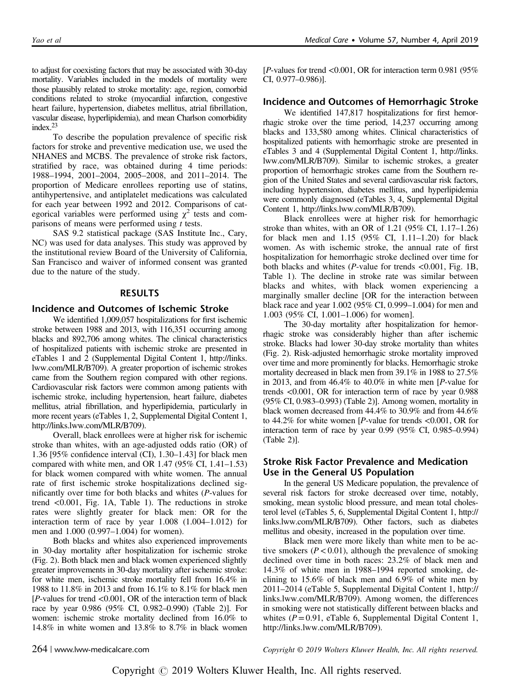to adjust for coexisting factors that may be associated with 30-day mortality. Variables included in the models of mortality were those plausibly related to stroke mortality: age, region, comorbid conditions related to stroke (myocardial infarction, congestive heart failure, hypertension, diabetes mellitus, atrial fibrillation, vascular disease, hyperlipidemia), and mean Charlson comorbidity index.23

To describe the population prevalence of specific risk factors for stroke and preventive medication use, we used the NHANES and MCBS. The prevalence of stroke risk factors, stratified by race, was obtained during 4 time periods: 1988–1994, 2001–2004, 2005–2008, and 2011–2014. The proportion of Medicare enrollees reporting use of statins, antihypertensive, and antiplatelet medications was calculated for each year between 1992 and 2012. Comparisons of categorical variables were performed using  $\chi^2$  tests and comparisons of means were performed using  $t$  tests.

SAS 9.2 statistical package (SAS Institute Inc., Cary, NC) was used for data analyses. This study was approved by the institutional review Board of the University of California, San Francisco and waiver of informed consent was granted due to the nature of the study.

#### RESULTS

#### Incidence and Outcomes of Ischemic Stroke

We identified 1,009,057 hospitalizations for first ischemic stroke between 1988 and 2013, with 116,351 occurring among blacks and 892,706 among whites. The clinical characteristics of hospitalized patients with ischemic stroke are presented in eTables 1 and 2 (Supplemental Digital Content 1, http://links. lww.com/MLR/B709). A greater proportion of ischemic strokes came from the Southern region compared with other regions. Cardiovascular risk factors were common among patients with ischemic stroke, including hypertension, heart failure, diabetes mellitus, atrial fibrillation, and hyperlipidemia, particularly in more recent years (eTables 1, 2, Supplemental Digital Content 1, http://links.lww.com/MLR/B709).

Overall, black enrollees were at higher risk for ischemic stroke than whites, with an age-adjusted odds ratio (OR) of 1.36 [95% confidence interval (CI), 1.30–1.43] for black men compared with white men, and OR  $1.47$  (95% CI,  $1.41-1.53$ ) for black women compared with white women. The annual rate of first ischemic stroke hospitalizations declined significantly over time for both blacks and whites (P-values for trend <0.001, Fig. 1A, Table 1). The reductions in stroke rates were slightly greater for black men: OR for the interaction term of race by year 1.008 (1.004–1.012) for men and 1.000 (0.997–1.004) for women).

Both blacks and whites also experienced improvements in 30-day mortality after hospitalization for ischemic stroke (Fig. 2). Both black men and black women experienced slightly greater improvements in 30-day mortality after ischemic stroke: for white men, ischemic stroke mortality fell from 16.4% in 1988 to 11.8% in 2013 and from 16.1% to 8.1% for black men  $[P$ -values for trend <0.001, OR of the interaction term of black race by year 0.986 (95% CI, 0.982–0.990) (Table 2)]. For women: ischemic stroke mortality declined from 16.0% to 14.8% in white women and 13.8% to 8.7% in black women [*P*-values for trend  $\langle 0.001, \text{OR} \rangle$  for interaction term 0.981 (95%) CI, 0.977–0.986)].

#### Incidence and Outcomes of Hemorrhagic Stroke

We identified 147,817 hospitalizations for first hemorrhagic stroke over the time period, 14,237 occurring among blacks and 133,580 among whites. Clinical characteristics of hospitalized patients with hemorrhagic stroke are presented in eTables 3 and 4 (Supplemental Digital Content 1, http://links. lww.com/MLR/B709). Similar to ischemic strokes, a greater proportion of hemorrhagic strokes came from the Southern region of the United States and several cardiovascular risk factors, including hypertension, diabetes mellitus, and hyperlipidemia were commonly diagnosed (eTables 3, 4, Supplemental Digital Content 1, http://links.lww.com/MLR/B709).

Black enrollees were at higher risk for hemorrhagic stroke than whites, with an OR of 1.21 (95% CI, 1.17–1.26) for black men and 1.15 (95% CI, 1.11–1.20) for black women. As with ischemic stroke, the annual rate of first hospitalization for hemorrhagic stroke declined over time for both blacks and whites (*P*-value for trends  $\langle 0.001,$  Fig. 1B, Table 1). The decline in stroke rate was similar between blacks and whites, with black women experiencing a marginally smaller decline [OR for the interaction between black race and year 1.002 (95% CI, 0.999–1.004) for men and 1.003 (95% CI, 1.001–1.006) for women].

The 30-day mortality after hospitalization for hemorrhagic stroke was considerably higher than after ischemic stroke. Blacks had lower 30-day stroke mortality than whites (Fig. 2). Risk-adjusted hemorrhagic stroke mortality improved over time and more prominently for blacks. Hemorrhagic stroke mortality decreased in black men from 39.1% in 1988 to 27.5% in 2013, and from 46.4% to 40.0% in white men [P-value for trends <0.001, OR for interaction term of race by year 0.988 (95% CI, 0.983–0.993) (Table 2)]. Among women, mortality in black women decreased from 44.4% to 30.9% and from 44.6% to 44.2% for white women [P-value for trends <0.001, OR for interaction term of race by year 0.99 (95% CI, 0.985–0.994) (Table 2)].

# Stroke Risk Factor Prevalence and Medication Use in the General US Population

In the general US Medicare population, the prevalence of several risk factors for stroke decreased over time, notably, smoking, mean systolic blood pressure, and mean total cholesterol level (eTables 5, 6, Supplemental Digital Content 1, http:// links.lww.com/MLR/B709). Other factors, such as diabetes mellitus and obesity, increased in the population over time.

Black men were more likely than white men to be active smokers  $(P < 0.01)$ , although the prevalence of smoking declined over time in both races: 23.2% of black men and 14.3% of white men in 1988–1994 reported smoking, declining to 15.6% of black men and 6.9% of white men by 2011–2014 (eTable 5, Supplemental Digital Content 1, http:// links.lww.com/MLR/B709). Among women, the differences in smoking were not statistically different between blacks and whites  $(P = 0.91, e$  Table 6, Supplemental Digital Content 1, http://links.lww.com/MLR/B709).

264 | www.lww-medicalcare.com Copyright © 2019 Wolters Kluwer Health, Inc. All rights reserved.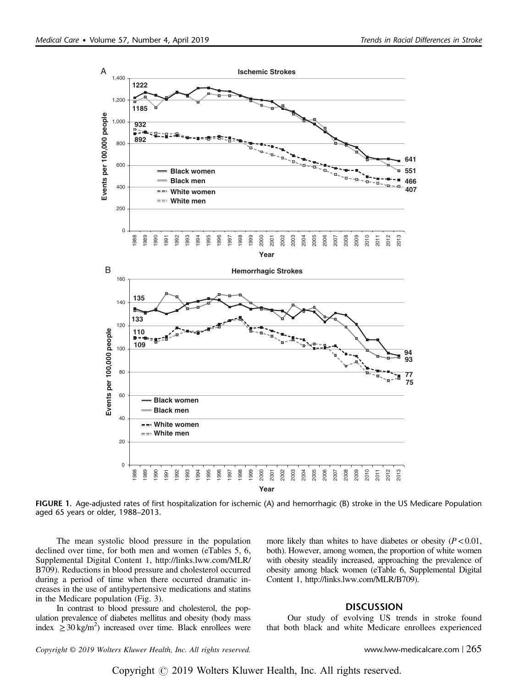

FIGURE 1. Age-adjusted rates of first hospitalization for ischemic (A) and hemorrhagic (B) stroke in the US Medicare Population aged 65 years or older, 1988–2013.

The mean systolic blood pressure in the population declined over time, for both men and women (eTables 5, 6, Supplemental Digital Content 1, http://links.lww.com/MLR/ B709). Reductions in blood pressure and cholesterol occurred during a period of time when there occurred dramatic increases in the use of antihypertensive medications and statins in the Medicare population (Fig. 3).

In contrast to blood pressure and cholesterol, the population prevalence of diabetes mellitus and obesity (body mass index  $\geq 30 \text{ kg/m}^2$ ) increased over time. Black enrollees were

more likely than whites to have diabetes or obesity  $(P < 0.01$ , both). However, among women, the proportion of white women with obesity steadily increased, approaching the prevalence of obesity among black women (eTable 6, Supplemental Digital Content 1, http://links.lww.com/MLR/B709).

## **DISCUSSION**

Our study of evolving US trends in stroke found that both black and white Medicare enrollees experienced

Copyright © 2019 Wolters Kluwer Health, Inc. All rights reserved. www.lww-medicalcare.com | 265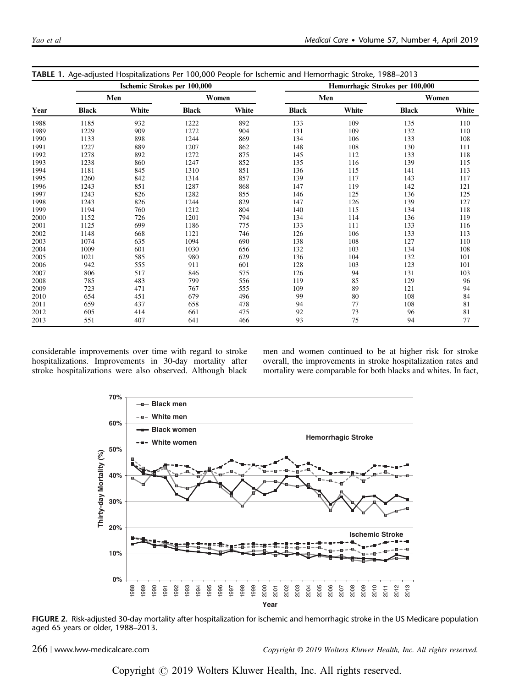| Year | <b>INDLE 1.</b> Age-aujusted Hospitalizations Fel T00,000 Feople for iscritemic and Hemoffmagic Stroke, T200–2013<br>Ischemic Strokes per 100,000 |       |              |       | Hemorrhagic Strokes per 100,000 |       |              |       |
|------|---------------------------------------------------------------------------------------------------------------------------------------------------|-------|--------------|-------|---------------------------------|-------|--------------|-------|
|      | Men                                                                                                                                               |       | Women        |       | Men                             |       | Women        |       |
|      | <b>Black</b>                                                                                                                                      | White | <b>Black</b> | White | <b>Black</b>                    | White | <b>Black</b> | White |
| 1988 | 1185                                                                                                                                              | 932   | 1222         | 892   | 133                             | 109   | 135          | 110   |
| 1989 | 1229                                                                                                                                              | 909   | 1272         | 904   | 131                             | 109   | 132          | 110   |
| 1990 | 1133                                                                                                                                              | 898   | 1244         | 869   | 134                             | 106   | 133          | 108   |
| 1991 | 1227                                                                                                                                              | 889   | 1207         | 862   | 148                             | 108   | 130          | 111   |
| 1992 | 1278                                                                                                                                              | 892   | 1272         | 875   | 145                             | 112   | 133          | 118   |
| 1993 | 1238                                                                                                                                              | 860   | 1247         | 852   | 135                             | 116   | 139          | 115   |
| 1994 | 1181                                                                                                                                              | 845   | 1310         | 851   | 136                             | 115   | 141          | 113   |
| 1995 | 1260                                                                                                                                              | 842   | 1314         | 857   | 139                             | 117   | 143          | 117   |
| 1996 | 1243                                                                                                                                              | 851   | 1287         | 868   | 147                             | 119   | 142          | 121   |
| 1997 | 1243                                                                                                                                              | 826   | 1282         | 855   | 146                             | 125   | 136          | 125   |
| 1998 | 1243                                                                                                                                              | 826   | 1244         | 829   | 147                             | 126   | 139          | 127   |
| 1999 | 1194                                                                                                                                              | 760   | 1212         | 804   | 140                             | 115   | 134          | 118   |
| 2000 | 1152                                                                                                                                              | 726   | 1201         | 794   | 134                             | 114   | 136          | 119   |
| 2001 | 1125                                                                                                                                              | 699   | 1186         | 775   | 133                             | 111   | 133          | 116   |
| 2002 | 1148                                                                                                                                              | 668   | 1121         | 746   | 126                             | 106   | 133          | 113   |
| 2003 | 1074                                                                                                                                              | 635   | 1094         | 690   | 138                             | 108   | 127          | 110   |
| 2004 | 1009                                                                                                                                              | 601   | 1030         | 656   | 132                             | 103   | 134          | 108   |
| 2005 | 1021                                                                                                                                              | 585   | 980          | 629   | 136                             | 104   | 132          | 101   |
| 2006 | 942                                                                                                                                               | 555   | 911          | 601   | 128                             | 103   | 123          | 101   |
| 2007 | 806                                                                                                                                               | 517   | 846          | 575   | 126                             | 94    | 131          | 103   |
| 2008 | 785                                                                                                                                               | 483   | 799          | 556   | 119                             | 85    | 129          | 96    |
| 2009 | 723                                                                                                                                               | 471   | 767          | 555   | 109                             | 89    | 121          | 94    |
| 2010 | 654                                                                                                                                               | 451   | 679          | 496   | 99                              | 80    | 108          | 84    |
| 2011 | 659                                                                                                                                               | 437   | 658          | 478   | 94                              | 77    | 108          | 81    |
| 2012 | 605                                                                                                                                               | 414   | 661          | 475   | 92                              | 73    | 96           | 81    |
| 2013 | 551                                                                                                                                               | 407   | 641          | 466   | 93                              | 75    | 94           | 77    |

TABLE 1. Age-adjusted Hospitalizations Per 100,000 People for Ischemic and Hemorrhagic Stroke, 1988–2013

considerable improvements over time with regard to stroke hospitalizations. Improvements in 30-day mortality after stroke hospitalizations were also observed. Although black men and women continued to be at higher risk for stroke overall, the improvements in stroke hospitalization rates and mortality were comparable for both blacks and whites. In fact,



FIGURE 2. Risk-adjusted 30-day mortality after hospitalization for ischemic and hemorrhagic stroke in the US Medicare population aged 65 years or older, 1988–2013.

266 | www.lww-medicalcare.com Copyright © 2019 Wolters Kluwer Health, Inc. All rights reserved.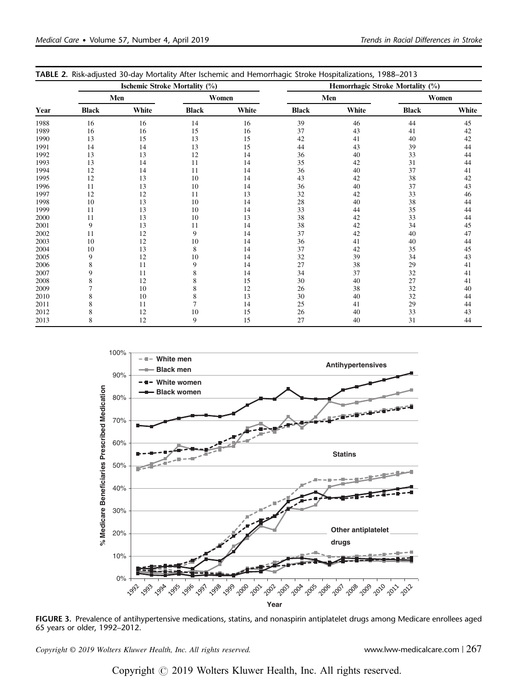| Year | <b>Ischemic Stroke Mortality (%)</b> |       |                |       | ◡<br>Hemorrhagic Stroke Mortality (%) |       |              |       |
|------|--------------------------------------|-------|----------------|-------|---------------------------------------|-------|--------------|-------|
|      | Men                                  |       | Women          |       | Men                                   |       | Women        |       |
|      | <b>Black</b>                         | White | <b>Black</b>   | White | <b>Black</b>                          | White | <b>Black</b> | White |
| 1988 | 16                                   | 16    | 14             | 16    | 39                                    | 46    | 44           | 45    |
| 1989 | 16                                   | 16    | 15             | 16    | 37                                    | 43    | 41           | 42    |
| 1990 | 13                                   | 15    | 13             | 15    | 42                                    | 41    | 40           | 42    |
| 1991 | 14                                   | 14    | 13             | 15    | 44                                    | 43    | 39           | 44    |
| 1992 | 13                                   | 13    | 12             | 14    | 36                                    | 40    | 33           | 44    |
| 1993 | 13                                   | 14    | 11             | 14    | 35                                    | 42    | 31           | 44    |
| 1994 | 12                                   | 14    | 11             | 14    | 36                                    | 40    | 37           | 41    |
| 1995 | 12                                   | 13    | 10             | 14    | 43                                    | 42    | 38           | 42    |
| 1996 | 11                                   | 13    | 10             | 14    | 36                                    | 40    | 37           | 43    |
| 1997 | 12                                   | 12    | 11             | 13    | 32                                    | 42    | 33           | 46    |
| 1998 | 10                                   | 13    | 10             | 14    | 28                                    | 40    | 38           | 44    |
| 1999 | 11                                   | 13    | 10             | 14    | 33                                    | 44    | 35           | 44    |
| 2000 | 11                                   | 13    | 10             | 13    | 38                                    | 42    | 33           | 44    |
| 2001 | 9                                    | 13    | 11             | 14    | 38                                    | 42    | 34           | 45    |
| 2002 | 11                                   | 12    | 9              | 14    | 37                                    | 42    | 40           | 47    |
| 2003 | 10                                   | 12    | 10             | 14    | 36                                    | 41    | 40           | 44    |
| 2004 | 10                                   | 13    | 8              | 14    | 37                                    | 42    | 35           | 45    |
| 2005 | 9                                    | 12    | 10             | 14    | 32                                    | 39    | 34           | 43    |
| 2006 | 8                                    | 11    | 9              | 14    | 27                                    | 38    | 29           | 41    |
| 2007 | 9                                    | 11    | 8              | 14    | 34                                    | 37    | 32           | 41    |
| 2008 | 8                                    | 12    | 8              | 15    | 30                                    | 40    | 27           | 41    |
| 2009 | 7                                    | 10    | 8              | 12    | 26                                    | 38    | 32           | 40    |
| 2010 | 8                                    | 10    | 8              | 13    | 30                                    | 40    | 32           | 44    |
| 2011 | 8                                    | 11    | $\overline{7}$ | 14    | 25                                    | 41    | 29           | 44    |
| 2012 | 8                                    | 12    | 10             | 15    | 26                                    | 40    | 33           | 43    |
| 2013 | 8                                    | 12    | 9              | 15    | 27                                    | 40    | 31           | 44    |

TABLE 2. Risk-adjusted 30-day Mortality After Ischemic and Hemorrhagic Stroke Hospitalizations, 1988–2013



FIGURE 3. Prevalence of antihypertensive medications, statins, and nonaspirin antiplatelet drugs among Medicare enrollees aged 65 years or older, 1992–2012.

Copyright © 2019 Wolters Kluwer Health, Inc. All rights reserved. www.lww-medicalcare.com | 267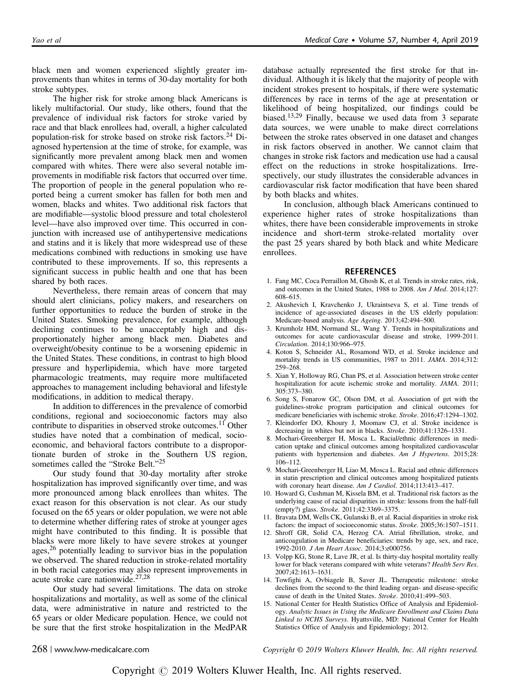black men and women experienced slightly greater improvements than whites in terms of 30-day mortality for both stroke subtypes.

The higher risk for stroke among black Americans is likely multifactorial. Our study, like others, found that the prevalence of individual risk factors for stroke varied by race and that black enrollees had, overall, a higher calculated population-risk for stroke based on stroke risk factors.<sup>24</sup> Diagnosed hypertension at the time of stroke, for example, was significantly more prevalent among black men and women compared with whites. There were also several notable improvements in modifiable risk factors that occurred over time. The proportion of people in the general population who reported being a current smoker has fallen for both men and women, blacks and whites. Two additional risk factors that are modifiable—systolic blood pressure and total cholesterol level—have also improved over time. This occurred in conjunction with increased use of antihypertensive medications and statins and it is likely that more widespread use of these medications combined with reductions in smoking use have contributed to these improvements. If so, this represents a significant success in public health and one that has been shared by both races.

Nevertheless, there remain areas of concern that may should alert clinicians, policy makers, and researchers on further opportunities to reduce the burden of stroke in the United States. Smoking prevalence, for example, although declining continues to be unacceptably high and disproportionately higher among black men. Diabetes and overweight/obesity continue to be a worsening epidemic in the United States. These conditions, in contrast to high blood pressure and hyperlipidemia, which have more targeted pharmacologic treatments, may require more multifaceted approaches to management including behavioral and lifestyle modifications, in addition to medical therapy.

In addition to differences in the prevalence of comorbid conditions, regional and socioeconomic factors may also contribute to disparities in observed stroke outcomes.<sup>11</sup> Other studies have noted that a combination of medical, socioeconomic, and behavioral factors contribute to a disproportionate burden of stroke in the Southern US region, sometimes called the "Stroke Belt."<sup>25</sup>

Our study found that 30-day mortality after stroke hospitalization has improved significantly over time, and was more pronounced among black enrollees than whites. The exact reason for this observation is not clear. As our study focused on the 65 years or older population, we were not able to determine whether differing rates of stroke at younger ages might have contributed to this finding. It is possible that blacks were more likely to have severe strokes at younger ages,<sup>26</sup> potentially leading to survivor bias in the population we observed. The shared reduction in stroke-related mortality in both racial categories may also represent improvements in acute stroke care nationwide.27,28

Our study had several limitations. The data on stroke hospitalizations and mortality, as well as some of the clinical data, were administrative in nature and restricted to the 65 years or older Medicare population. Hence, we could not be sure that the first stroke hospitalization in the MedPAR database actually represented the first stroke for that individual. Although it is likely that the majority of people with incident strokes present to hospitals, if there were systematic differences by race in terms of the age at presentation or likelihood of being hospitalized, our findings could be biased.13,29 Finally, because we used data from 3 separate data sources, we were unable to make direct correlations between the stroke rates observed in one dataset and changes in risk factors observed in another. We cannot claim that changes in stroke risk factors and medication use had a causal effect on the reductions in stroke hospitalizations. Irrespectively, our study illustrates the considerable advances in cardiovascular risk factor modification that have been shared by both blacks and whites.

In conclusion, although black Americans continued to experience higher rates of stroke hospitalizations than whites, there have been considerable improvements in stroke incidence and short-term stroke-related mortality over the past 25 years shared by both black and white Medicare enrollees.

#### **REFERENCES**

- 1. Fang MC, Coca Perraillon M, Ghosh K, et al. Trends in stroke rates, risk, and outcomes in the United States, 1988 to 2008. Am J Med. 2014;127: 608–615.
- 2. Akushevich I, Kravchenko J, Ukraintseva S, et al. Time trends of incidence of age-associated diseases in the US elderly population: Medicare-based analysis. Age Ageing. 2013;42:494–500.
- 3. Krumholz HM, Normand SL, Wang Y. Trends in hospitalizations and outcomes for acute cardiovascular disease and stroke, 1999-2011. Circulation. 2014;130:966–975.
- 4. Koton S, Schneider AL, Rosamond WD, et al. Stroke incidence and mortality trends in US communities, 1987 to 2011. JAMA. 2014;312: 259–268.
- 5. Xian Y, Holloway RG, Chan PS, et al. Association between stroke center hospitalization for acute ischemic stroke and mortality. JAMA. 2011; 305:373–380.
- 6. Song S, Fonarow GC, Olson DM, et al. Association of get with the guidelines-stroke program participation and clinical outcomes for medicare beneficiaries with ischemic stroke. Stroke. 2016;47:1294–1302.
- 7. Kleindorfer DO, Khoury J, Moomaw CJ, et al. Stroke incidence is decreasing in whites but not in blacks. Stroke. 2010;41:1326-1331.
- 8. Mochari-Greenberger H, Mosca L. Racial/ethnic differences in medication uptake and clinical outcomes among hospitalized cardiovascular patients with hypertension and diabetes. Am J Hypertens. 2015;28: 106–112.
- 9. Mochari-Greenberger H, Liao M, Mosca L. Racial and ethnic differences in statin prescription and clinical outcomes among hospitalized patients with coronary heart disease. Am J Cardiol. 2014;113:413-417.
- 10. Howard G, Cushman M, Kissela BM, et al. Traditional risk factors as the underlying cause of racial disparities in stroke: lessons from the half-full (empty?) glass. Stroke. 2011;42:3369–3375.
- 11. Bravata DM, Wells CK, Gulanski B, et al. Racial disparities in stroke risk factors: the impact of socioeconomic status. Stroke. 2005;36:1507–1511.
- 12. Shroff GR, Solid CA, Herzog CA. Atrial fibrillation, stroke, and anticoagulation in Medicare beneficiaries: trends by age, sex, and race, 1992-2010. J Am Heart Assoc. 2014;3:e000756.
- 13. Volpp KG, Stone R, Lave JR, et al. Is thirty-day hospital mortality really lower for black veterans compared with white veterans? Health Serv Res. 2007;42:1613–1631.
- 14. Towfighi A, Ovbiagele B, Saver JL. Therapeutic milestone: stroke declines from the second to the third leading organ- and disease-specific cause of death in the United States. Stroke. 2010;41:499–503.
- 15. National Center for Health Statistics Office of Analysis and Epidemiology. Analytic Issues in Using the Medicare Enrollment and Claims Data Linked to NCHS Surveys. Hyattsville, MD: National Center for Health Statistics Office of Analysis and Epidemiology; 2012.

268 | www.lww-medicalcare.com Copyright © 2019 Wolters Kluwer Health, Inc. All rights reserved.